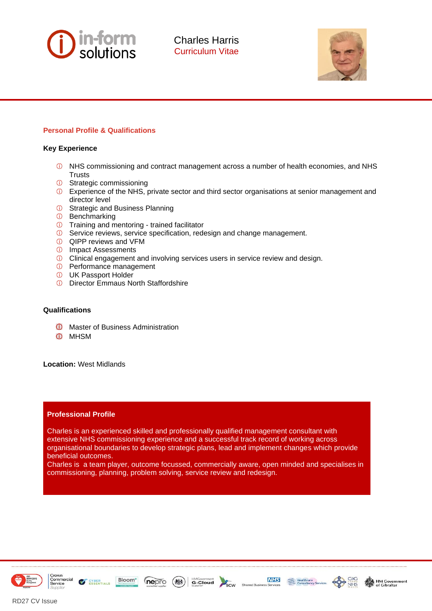



## **Personal Profile & Qualifications**

### **Key Experience**

- NHS commissioning and contract management across a number of health economies, and NHS **Trusts**
- **G** Strategic commissioning
- **C** Experience of the NHS, private sector and third sector organisations at senior management and director level
- *O* Strategic and Business Planning
- *G* Benchmarking
- *O* Training and mentoring trained facilitator
- **C** Service reviews, service specification, redesign and change management.
- QIPP reviews and VFM
- *C* Impact Assessments
- **C** Clinical engagement and involving services users in service review and design.
- Performance management
- UK Passport Holder
- *O* Director Emmaus North Staffordshire

### **Qualifications**

**O** Master of Business Administration

Bloom\*

**CYBER**<br>
ESSENTIALS

nepro

 $(\frac{1}{2} + \frac{1}{2})$ 

**O** MHSM

**Location:** West Midlands

#### **Professional Profile**

Charles is an experienced skilled and professionally qualified management consultant with extensive NHS commissioning experience and a successful track record of working across organisational boundaries to develop strategic plans, lead and implement changes which provide beneficial outcomes.

Charles is a team player, outcome focussed, commercially aware, open minded and specialises in commissioning, planning, problem solving, service review and redesign.

**Supplier** 





**NHS** 

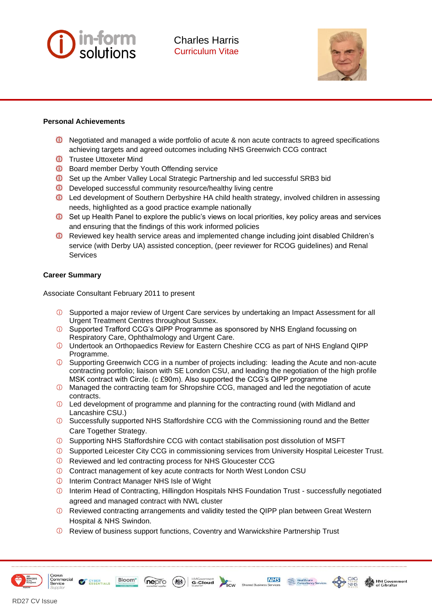



## **Personal Achievements**

- Negotiated and managed a wide portfolio of acute & non acute contracts to agreed specifications achieving targets and agreed outcomes including NHS Greenwich CCG contract
- **<sup>1</sup>** Trustee Uttoxeter Mind
- **D** Board member Derby Youth Offending service
- **O** Set up the Amber Valley Local Strategic Partnership and led successful SRB3 bid
- **D** Developed successful community resource/healthy living centre
- Led development of Southern Derbyshire HA child health strategy, involved children in assessing needs, highlighted as a good practice example nationally
- **O** Set up Health Panel to explore the public's views on local priorities, key policy areas and services and ensuring that the findings of this work informed policies
- **C** Reviewed key health service areas and implemented change including joint disabled Children's service (with Derby UA) assisted conception, (peer reviewer for RCOG guidelines) and Renal **Services**

## **Career Summary**

Associate Consultant February 2011 to present

- Supported a major review of Urgent Care services by undertaking an Impact Assessment for all Urgent Treatment Centres throughout Sussex.
- **C** Supported Trafford CCG's QIPP Programme as sponsored by NHS England focussing on Respiratory Care, Ophthalmology and Urgent Care.
- Undertook an Orthopaedics Review for Eastern Cheshire CCG as part of NHS England QIPP Programme.
- Supporting Greenwich CCG in a number of projects including: leading the Acute and non-acute contracting portfolio; liaison with SE London CSU, and leading the negotiation of the high profile MSK contract with Circle. (c £90m). Also supported the CCG's QIPP programme
- Managed the contracting team for Shropshire CCG, managed and led the negotiation of acute contracts.
- $\odot$  Led development of programme and planning for the contracting round (with Midland and Lancashire CSU.)
- **C** Successfully supported NHS Staffordshire CCG with the Commissioning round and the Better Care Together Strategy.
- Supporting NHS Staffordshire CCG with contact stabilisation post dissolution of MSFT
- Supported Leicester City CCG in commissioning services from University Hospital Leicester Trust.
- Reviewed and led contracting process for NHS Gloucester CCG
- Contract management of key acute contracts for North West London CSU
- *ID* Interim Contract Manager NHS Isle of Wight

Bloom\*

nepro

 $(\circledast)$ 

Interim Head of Contracting, Hillingdon Hospitals NHS Foundation Trust - successfully negotiated agreed and managed contract with NWL cluster

**NHS** 

Healthcare<br>Consultancy Services

- **The Reviewed contracting arrangements and validity tested the QIPP plan between Great Western** Hospital & NHS Swindon.
- Review of business support functions, Coventry and Warwickshire Partnership Trust

**HMGovernment** 



**CYBER**<br>
ESSENTIALS

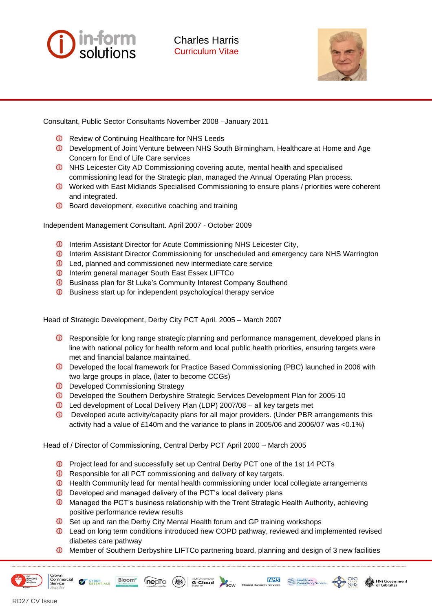



Consultant, Public Sector Consultants November 2008 –January 2011

- **D** Review of Continuing Healthcare for NHS Leeds
- Development of Joint Venture between NHS South Birmingham, Healthcare at Home and Age Concern for End of Life Care services
- **O** NHS Leicester City AD Commissioning covering acute, mental health and specialised commissioning lead for the Strategic plan, managed the Annual Operating Plan process.
- **C** Worked with East Midlands Specialised Commissioning to ensure plans / priorities were coherent and integrated.
- **D** Board development, executive coaching and training

Independent Management Consultant. April 2007 - October 2009

- **ID** Interim Assistant Director for Acute Commissioning NHS Leicester City,
- **ID** Interim Assistant Director Commissioning for unscheduled and emergency care NHS Warrington
- **D** Led, planned and commissioned new intermediate care service
- **D** Interim general manager South East Essex LIFTCo
- **C** Business plan for St Luke's Community Interest Company Southend
- **D** Business start up for independent psychological therapy service

Head of Strategic Development, Derby City PCT April. 2005 – March 2007

- **C** Responsible for long range strategic planning and performance management, developed plans in line with national policy for health reform and local public health priorities, ensuring targets were met and financial balance maintained.
- Developed the local framework for Practice Based Commissioning (PBC) launched in 2006 with two large groups in place, (later to become CCGs)
- **D** Developed Commissioning Strategy

Bloom\*

**CYBER**<br>ESSENTIALS

- **D** Developed the Southern Derbyshire Strategic Services Development Plan for 2005-10
- Led development of Local Delivery Plan (LDP) 2007/08 all key targets met
- Developed acute activity/capacity plans for all major providers. (Under PBR arrangements this activity had a value of £140m and the variance to plans in 2005/06 and 2006/07 was <0.1%)

Head of / Director of Commissioning, Central Derby PCT April 2000 – March 2005

- **D** Project lead for and successfully set up Central Derby PCT one of the 1st 14 PCTs
- **D** Responsible for all PCT commissioning and delivery of key targets.
- **D** Health Community lead for mental health commissioning under local collegiate arrangements
- $\bigcirc$ Developed and managed delivery of the PCT's local delivery plans

nepro

- **D** Managed the PCT's business relationship with the Trent Strategic Health Authority, achieving positive performance review results
- Set up and ran the Derby City Mental Health forum and GP training workshops  $\bigcirc$
- Lead on long term conditions introduced new COPD pathway, reviewed and implemented revised diabetes care pathway
- **O** Member of Southern Derbyshire LIFTCo partnering board, planning and design of 3 new facilities

**NHS** 

G-Cloud Supplier

RD27 CV Issue